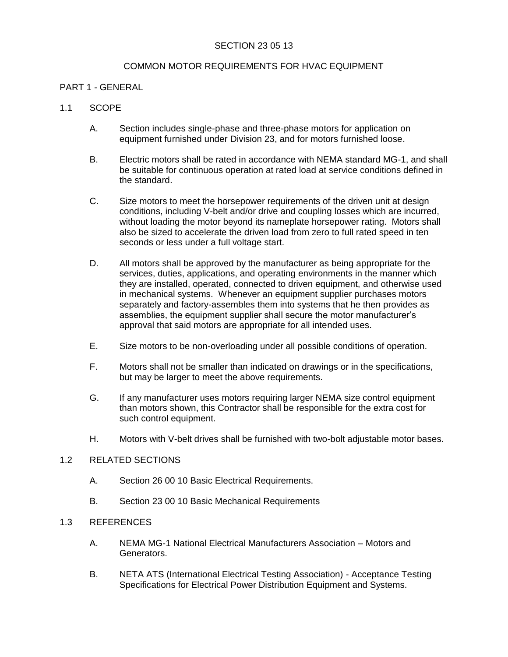# SECTION 23 05 13

## COMMON MOTOR REQUIREMENTS FOR HVAC EQUIPMENT

## PART 1 - GENERAL

## 1.1 SCOPE

- A. Section includes single-phase and three-phase motors for application on equipment furnished under Division 23, and for motors furnished loose.
- B. Electric motors shall be rated in accordance with NEMA standard MG-1, and shall be suitable for continuous operation at rated load at service conditions defined in the standard.
- C. Size motors to meet the horsepower requirements of the driven unit at design conditions, including V-belt and/or drive and coupling losses which are incurred, without loading the motor beyond its nameplate horsepower rating. Motors shall also be sized to accelerate the driven load from zero to full rated speed in ten seconds or less under a full voltage start.
- D. All motors shall be approved by the manufacturer as being appropriate for the services, duties, applications, and operating environments in the manner which they are installed, operated, connected to driven equipment, and otherwise used in mechanical systems. Whenever an equipment supplier purchases motors separately and factory-assembles them into systems that he then provides as assemblies, the equipment supplier shall secure the motor manufacturer's approval that said motors are appropriate for all intended uses.
- E. Size motors to be non-overloading under all possible conditions of operation.
- F. Motors shall not be smaller than indicated on drawings or in the specifications, but may be larger to meet the above requirements.
- G. If any manufacturer uses motors requiring larger NEMA size control equipment than motors shown, this Contractor shall be responsible for the extra cost for such control equipment.
- H. Motors with V-belt drives shall be furnished with two-bolt adjustable motor bases.

## 1.2 RELATED SECTIONS

- A. Section 26 00 10 Basic Electrical Requirements.
- B. Section 23 00 10 Basic Mechanical Requirements

## 1.3 REFERENCES

- A. NEMA MG-1 National Electrical Manufacturers Association Motors and Generators.
- B. NETA ATS (International Electrical Testing Association) Acceptance Testing Specifications for Electrical Power Distribution Equipment and Systems.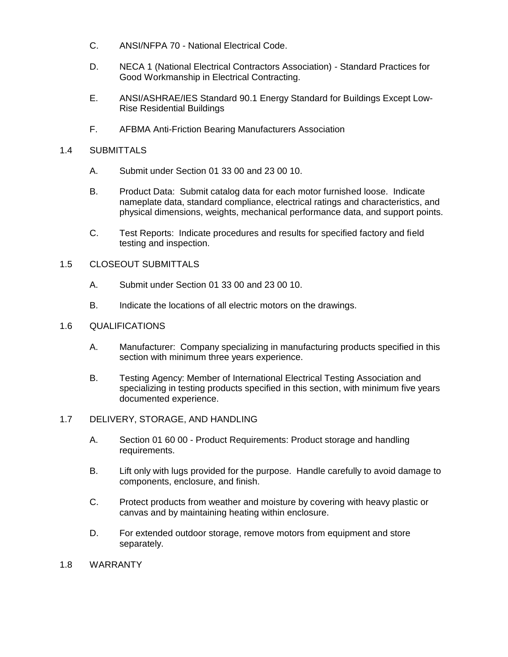- C. ANSI/NFPA 70 National Electrical Code.
- D. NECA 1 (National Electrical Contractors Association) Standard Practices for Good Workmanship in Electrical Contracting.
- E. ANSI/ASHRAE/IES Standard 90.1 Energy Standard for Buildings Except Low-Rise Residential Buildings
- F. AFBMA Anti-Friction Bearing Manufacturers Association

## 1.4 SUBMITTALS

- A. Submit under Section 01 33 00 and 23 00 10.
- B. Product Data: Submit catalog data for each motor furnished loose. Indicate nameplate data, standard compliance, electrical ratings and characteristics, and physical dimensions, weights, mechanical performance data, and support points.
- C. Test Reports: Indicate procedures and results for specified factory and field testing and inspection.

## 1.5 CLOSEOUT SUBMITTALS

- A. Submit under Section 01 33 00 and 23 00 10.
- B. Indicate the locations of all electric motors on the drawings.

## 1.6 QUALIFICATIONS

- A. Manufacturer: Company specializing in manufacturing products specified in this section with minimum three years experience.
- B. Testing Agency: Member of International Electrical Testing Association and specializing in testing products specified in this section, with minimum five years documented experience.

#### 1.7 DELIVERY, STORAGE, AND HANDLING

- A. Section 01 60 00 Product Requirements: Product storage and handling requirements.
- B. Lift only with lugs provided for the purpose. Handle carefully to avoid damage to components, enclosure, and finish.
- C. Protect products from weather and moisture by covering with heavy plastic or canvas and by maintaining heating within enclosure.
- D. For extended outdoor storage, remove motors from equipment and store separately.

## 1.8 WARRANTY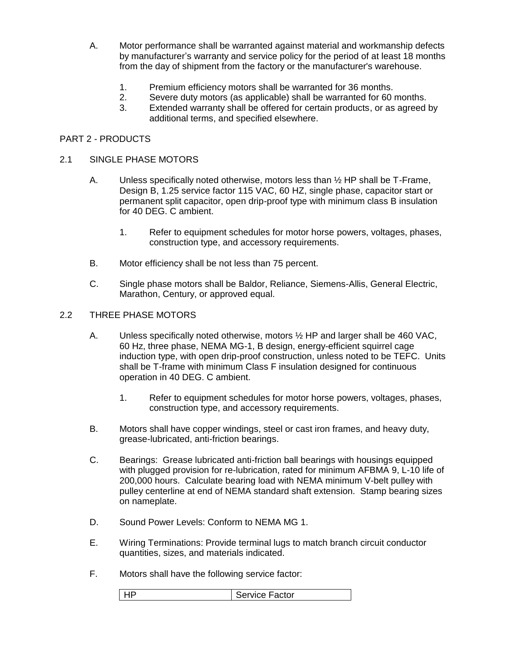- A. Motor performance shall be warranted against material and workmanship defects by manufacturer's warranty and service policy for the period of at least 18 months from the day of shipment from the factory or the manufacturer's warehouse.
	- 1. Premium efficiency motors shall be warranted for 36 months.
	- 2. Severe duty motors (as applicable) shall be warranted for 60 months.
	- 3. Extended warranty shall be offered for certain products, or as agreed by additional terms, and specified elsewhere.

## PART 2 - PRODUCTS

#### 2.1 SINGLE PHASE MOTORS

- A. Unless specifically noted otherwise, motors less than  $\frac{1}{2}$  HP shall be T-Frame, Design B, 1.25 service factor 115 VAC, 60 HZ, single phase, capacitor start or permanent split capacitor, open drip-proof type with minimum class B insulation for 40 DEG. C ambient.
	- 1. Refer to equipment schedules for motor horse powers, voltages, phases, construction type, and accessory requirements.
- B. Motor efficiency shall be not less than 75 percent.
- C. Single phase motors shall be Baldor, Reliance, Siemens-Allis, General Electric, Marathon, Century, or approved equal.

## 2.2 THREE PHASE MOTORS

- A. Unless specifically noted otherwise, motors ½ HP and larger shall be 460 VAC, 60 Hz, three phase, NEMA MG-1, B design, energy-efficient squirrel cage induction type, with open drip-proof construction, unless noted to be TEFC. Units shall be T-frame with minimum Class F insulation designed for continuous operation in 40 DEG. C ambient.
	- 1. Refer to equipment schedules for motor horse powers, voltages, phases, construction type, and accessory requirements.
- B. Motors shall have copper windings, steel or cast iron frames, and heavy duty, grease-lubricated, anti-friction bearings.
- C. Bearings: Grease lubricated anti-friction ball bearings with housings equipped with plugged provision for re-lubrication, rated for minimum AFBMA 9, L-10 life of 200,000 hours. Calculate bearing load with NEMA minimum V-belt pulley with pulley centerline at end of NEMA standard shaft extension. Stamp bearing sizes on nameplate.
- D. Sound Power Levels: Conform to NEMA MG 1.
- E. Wiring Terminations: Provide terminal lugs to match branch circuit conductor quantities, sizes, and materials indicated.
- F. Motors shall have the following service factor:

| l HP | <b>Service Factor</b> |
|------|-----------------------|
|------|-----------------------|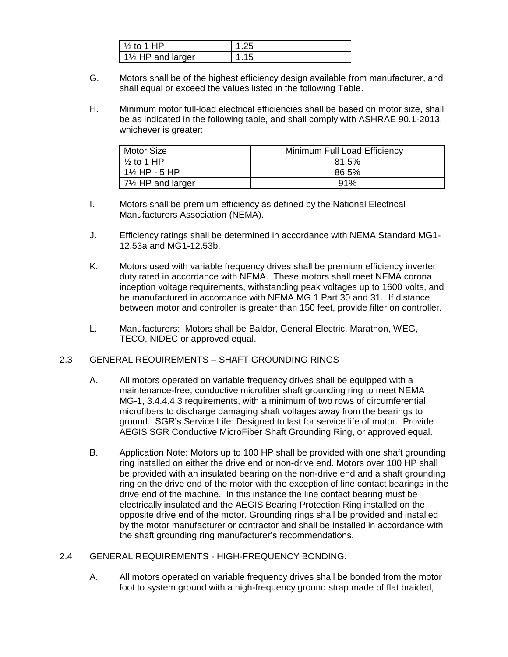| $\perp$ % to 1 HP        |      |
|--------------------------|------|
| $\vert$ 1½ HP and larger | 1.15 |

- G. Motors shall be of the highest efficiency design available from manufacturer, and shall equal or exceed the values listed in the following Table.
- H. Minimum motor full-load electrical efficiencies shall be based on motor size, shall be as indicated in the following table, and shall comply with ASHRAE 90.1-2013, whichever is greater:

| <b>Motor Size</b>            | Minimum Full Load Efficiency |
|------------------------------|------------------------------|
| $\frac{1}{2}$ to 1 HP        | 81.5%                        |
| $1\frac{1}{2}$ HP - 5 HP     | 86.5%                        |
| $7\frac{1}{2}$ HP and larger | 91%                          |

- I. Motors shall be premium efficiency as defined by the National Electrical Manufacturers Association (NEMA).
- J. Efficiency ratings shall be determined in accordance with NEMA Standard MG1- 12.53a and MG1-12.53b.
- K. Motors used with variable frequency drives shall be premium efficiency inverter duty rated in accordance with NEMA. These motors shall meet NEMA corona inception voltage requirements, withstanding peak voltages up to 1600 volts, and be manufactured in accordance with NEMA MG 1 Part 30 and 31. If distance between motor and controller is greater than 150 feet, provide filter on controller.
- L. Manufacturers: Motors shall be Baldor, General Electric, Marathon, WEG, TECO, NIDEC or approved equal.
- 2.3 GENERAL REQUIREMENTS SHAFT GROUNDING RINGS
	- A. All motors operated on variable frequency drives shall be equipped with a maintenance-free, conductive microfiber shaft grounding ring to meet NEMA MG-1, 3.4.4.4.3 requirements, with a minimum of two rows of circumferential microfibers to discharge damaging shaft voltages away from the bearings to ground. SGR's Service Life: Designed to last for service life of motor. Provide AEGIS SGR Conductive MicroFiber Shaft Grounding Ring, or approved equal.
	- B. Application Note: Motors up to 100 HP shall be provided with one shaft grounding ring installed on either the drive end or non-drive end. Motors over 100 HP shall be provided with an insulated bearing on the non-drive end and a shaft grounding ring on the drive end of the motor with the exception of line contact bearings in the drive end of the machine. In this instance the line contact bearing must be electrically insulated and the AEGIS Bearing Protection Ring installed on the opposite drive end of the motor. Grounding rings shall be provided and installed by the motor manufacturer or contractor and shall be installed in accordance with the shaft grounding ring manufacturer's recommendations.

# 2.4 GENERAL REQUIREMENTS - HIGH-FREQUENCY BONDING:

A. All motors operated on variable frequency drives shall be bonded from the motor foot to system ground with a high-frequency ground strap made of flat braided,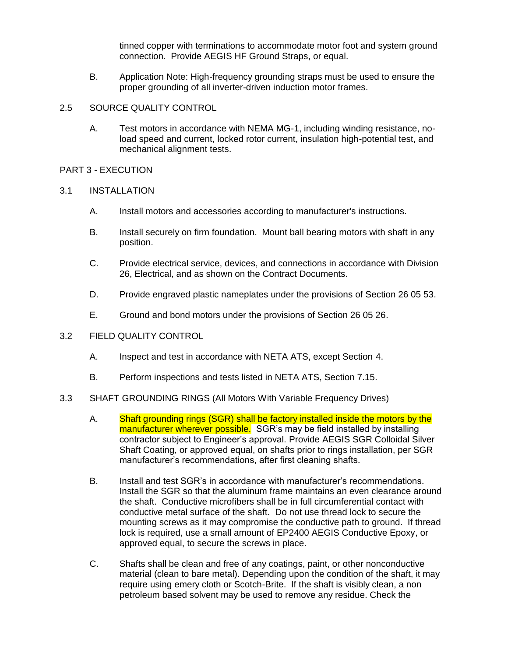tinned copper with terminations to accommodate motor foot and system ground connection. Provide AEGIS HF Ground Straps, or equal.

B. Application Note: High-frequency grounding straps must be used to ensure the proper grounding of all inverter-driven induction motor frames.

## 2.5 SOURCE QUALITY CONTROL

A. Test motors in accordance with NEMA MG-1, including winding resistance, noload speed and current, locked rotor current, insulation high-potential test, and mechanical alignment tests.

#### PART 3 - EXECUTION

## 3.1 INSTALLATION

- A. Install motors and accessories according to manufacturer's instructions.
- B. Install securely on firm foundation. Mount ball bearing motors with shaft in any position.
- C. Provide electrical service, devices, and connections in accordance with Division 26, Electrical, and as shown on the Contract Documents.
- D. Provide engraved plastic nameplates under the provisions of Section 26 05 53.
- E. Ground and bond motors under the provisions of Section 26 05 26.
- 3.2 FIELD QUALITY CONTROL
	- A. Inspect and test in accordance with NETA ATS, except Section 4.
	- B. Perform inspections and tests listed in NETA ATS, Section 7.15.
- 3.3 SHAFT GROUNDING RINGS (All Motors With Variable Frequency Drives)
	- A. Shaft grounding rings (SGR) shall be factory installed inside the motors by the manufacturer wherever possible. SGR's may be field installed by installing contractor subject to Engineer's approval. Provide AEGIS SGR Colloidal Silver Shaft Coating, or approved equal, on shafts prior to rings installation, per SGR manufacturer's recommendations, after first cleaning shafts.
	- B. Install and test SGR's in accordance with manufacturer's recommendations. Install the SGR so that the aluminum frame maintains an even clearance around the shaft. Conductive microfibers shall be in full circumferential contact with conductive metal surface of the shaft. Do not use thread lock to secure the mounting screws as it may compromise the conductive path to ground. If thread lock is required, use a small amount of EP2400 AEGIS Conductive Epoxy, or approved equal, to secure the screws in place.
	- C. Shafts shall be clean and free of any coatings, paint, or other nonconductive material (clean to bare metal). Depending upon the condition of the shaft, it may require using emery cloth or Scotch-Brite. If the shaft is visibly clean, a non petroleum based solvent may be used to remove any residue. Check the